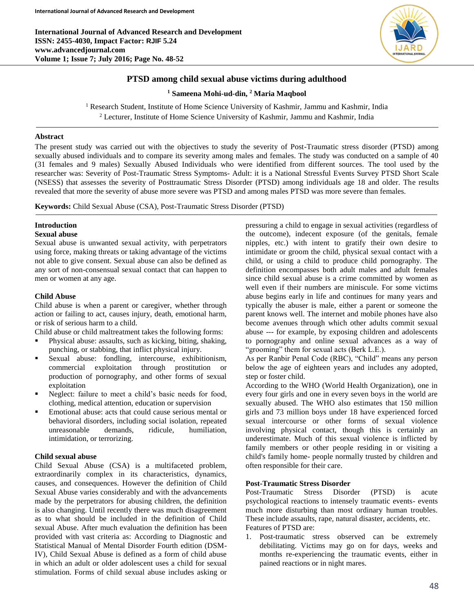**International Journal of Advanced Research and Development ISSN: 2455-4030, Impact Factor: RJIF 5.24 www.advancedjournal.com Volume 1; Issue 7; July 2016; Page No. 48-52**



# **PTSD among child sexual abuse victims during adulthood**

**<sup>1</sup> Sameena Mohi-ud-din, <sup>2</sup> Maria Maqbool**

<sup>1</sup> Research Student, Institute of Home Science University of Kashmir, Jammu and Kashmir, India <sup>2</sup> Lecturer, Institute of Home Science University of Kashmir, Jammu and Kashmir, India

## **Abstract**

The present study was carried out with the objectives to study the severity of Post-Traumatic stress disorder (PTSD) among sexually abused individuals and to compare its severity among males and females. The study was conducted on a sample of 40 (31 females and 9 males) Sexually Abused Individuals who were identified from different sources. The tool used by the researcher was: Severity of Post-Traumatic Stress Symptoms- Adult: it is a National Stressful Events Survey PTSD Short Scale (NSESS) that assesses the severity of Posttraumatic Stress Disorder (PTSD) among individuals age 18 and older. The results revealed that more the severity of abuse more severe was PTSD and among males PTSD was more severe than females.

**Keywords:** Child Sexual Abuse (CSA), Post-Traumatic Stress Disorder (PTSD)

#### **Introduction Sexual abuse**

Sexual abuse is unwanted sexual activity, with perpetrators using force, making threats or taking advantage of the victims not able to give consent. Sexual abuse can also be defined as any sort of non-consensual sexual contact that can happen to men or women at any age.

## **Child Abuse**

Child abuse is when a parent or caregiver, whether through action or failing to act, causes injury, death, emotional harm, or risk of serious harm to a child.

Child abuse or child maltreatment takes the following forms:

- Physical abuse: assaults, such as kicking, biting, shaking, punching, or stabbing, that inflict physical injury.
- Sexual abuse: fondling, intercourse, exhibitionism, commercial exploitation through prostitution or production of pornography, and other forms of sexual exploitation
- Neglect: failure to meet a child's basic needs for food, clothing, medical attention, education or supervision
- Emotional abuse: acts that could cause serious mental or behavioral disorders, including social isolation, repeated unreasonable demands, ridicule, humiliation, intimidation, or terrorizing.

# **Child sexual abuse**

Child Sexual Abuse (CSA) is a multifaceted problem, extraordinarily complex in its characteristics, dynamics, causes, and consequences. However the definition of Child Sexual Abuse varies considerably and with the advancements made by the perpetrators for abusing children, the definition is also changing. Until recently there was much disagreement as to what should be included in the definition of Child sexual Abuse. After much evaluation the definition has been provided with vast criteria as: According to Diagnostic and Statistical Manual of Mental Disorder Fourth edition (DSM-IV), Child Sexual Abuse is defined as a form of child abuse in which an adult or older adolescent uses a child for sexual stimulation. Forms of child sexual abuse includes asking or

pressuring a child to engage in sexual activities (regardless of the outcome), indecent exposure (of the genitals, female nipples, etc.) with intent to gratify their own desire to intimidate or groom the child, physical sexual contact with a child, or using a child to produce child pornography. The definition encompasses both adult males and adult females since child sexual abuse is a crime committed by women as well even if their numbers are miniscule. For some victims abuse begins early in life and continues for many years and typically the abuser is male, either a parent or someone the parent knows well. The internet and mobile phones have also become avenues through which other adults commit sexual abuse --- for example, by exposing children and adolescents to pornography and online sexual advances as a way of "grooming" them for sexual acts (Berk L.E.).

As per Ranbir Penal Code (RBC), "Child" means any person below the age of eighteen years and includes any adopted, step or foster child.

According to the WHO (World Health Organization), one in every four girls and one in every seven boys in the world are sexually abused. The WHO also estimates that 150 million girls and 73 million boys under 18 have experienced forced sexual intercourse or other forms of sexual violence involving physical contact, though this is certainly an underestimate. Much of this sexual violence is inflicted by family members or other people residing in or visiting a child's family home- people normally trusted by children and often responsible for their care.

# **Post-Traumatic Stress Disorder**

Post-Traumatic Stress Disorder (PTSD) is acute psychological reactions to intensely traumatic events- events much more disturbing than most ordinary human troubles. These include assaults, rape, natural disaster, accidents, etc. Features of PTSD are:

1. Post-traumatic stress observed can be extremely debilitating. Victims may go on for days, weeks and months re-experiencing the traumatic events, either in pained reactions or in night mares.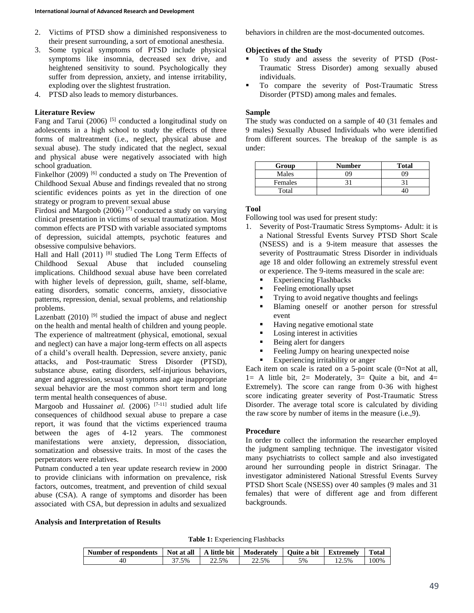- 2. Victims of PTSD show a diminished responsiveness to their present surrounding, a sort of emotional anesthesia.
- 3. Some typical symptoms of PTSD include physical symptoms like insomnia, decreased sex drive, and heightened sensitivity to sound. Psychologically they suffer from depression, anxiety, and intense irritability, exploding over the slightest frustration.
- 4. PTSD also leads to memory disturbances.

## **Literature Review**

Fang and Tarui (2006)  $[5]$  conducted a longitudinal study on adolescents in a high school to study the effects of three forms of maltreatment (i.e., neglect, physical abuse and sexual abuse). The study indicated that the neglect, sexual and physical abuse were negatively associated with high school graduation.

Finkelhor (2009)<sup>[6]</sup> conducted a study on The Prevention of Childhood Sexual Abuse and findings revealed that no strong scientific evidences points as yet in the direction of one strategy or program to prevent sexual abuse

Firdosi and Margoob  $(2006)$ <sup>[7]</sup> conducted a study on varying clinical presentation in victims of sexual traumatization. Most common effects are PTSD with variable associated symptoms of depression, suicidal attempts, psychotic features and obsessive compulsive behaviors.

Hall and Hall  $(2011)$  [8] studied The Long Term Effects of Childhood Sexual Abuse that included counseling implications. Childhood sexual abuse have been correlated with higher levels of depression, guilt, shame, self-blame, eating disorders, somatic concerns, anxiety, dissociative patterns, repression, denial, sexual problems, and relationship problems.

Lazenbatt  $(2010)$ <sup>[9]</sup> studied the impact of abuse and neglect on the health and mental health of children and young people. The experience of maltreatment (physical, emotional, sexual and neglect) can have a major long-term effects on all aspects of a child's overall health. Depression, severe anxiety, panic attacks, and Post-traumatic Stress Disorder (PTSD), substance abuse, eating disorders, self-injurious behaviors, anger and aggression, sexual symptoms and age inappropriate sexual behavior are the most common short term and long term mental health consequences of abuse.

Margoob and Hussainet al. (2006)<sup>[7-11]</sup> studied adult life consequences of childhood sexual abuse to prepare a case report, it was found that the victims experienced trauma between the ages of 4-12 years. The commonest manifestations were anxiety, depression, dissociation, somatization and obsessive traits. In most of the cases the perpetrators were relatives.

Putnam conducted a ten year update research review in 2000 to provide clinicians with information on prevalence, risk factors, outcomes, treatment, and prevention of child sexual abuse (CSA). A range of symptoms and disorder has been associated with CSA, but depression in adults and sexualized

behaviors in children are the most-documented outcomes.

### **Objectives of the Study**

- To study and assess the severity of PTSD (Post-Traumatic Stress Disorder) among sexually abused individuals.
- To compare the severity of Post-Traumatic Stress Disorder (PTSD) among males and females.

### **Sample**

The study was conducted on a sample of 40 (31 females and 9 males) Sexually Abused Individuals who were identified from different sources. The breakup of the sample is as under:

| Group   | <b>Number</b> | <b>Total</b> |
|---------|---------------|--------------|
| Males   | ገባ            | ገባ           |
| Females |               |              |
| Total   |               |              |

# **Tool**

Following tool was used for present study:

- 1. Severity of Post-Traumatic Stress Symptoms- Adult: it is a National Stressful Events Survey PTSD Short Scale (NSESS) and is a 9-item measure that assesses the severity of Posttraumatic Stress Disorder in individuals age 18 and older following an extremely stressful event or experience. The 9-items measured in the scale are:
	- Experiencing Flashbacks
	- Feeling emotionally upset
	- Trying to avoid negative thoughts and feelings
	- Blaming oneself or another person for stressful event
	- Having negative emotional state
	- Losing interest in activities
	- Being alert for dangers
	- Feeling Jumpy on hearing unexpected noise
	- Experiencing irritability or anger

Each item on scale is rated on a 5-point scale (0=Not at all,  $1=$  A little bit,  $2=$  Moderately,  $3=$  Quite a bit, and  $4=$ Extremely). The score can range from 0-36 with highest score indicating greater severity of Post-Traumatic Stress Disorder. The average total score is calculated by dividing the raw score by number of items in the measure (i.e.,9).

### **Procedure**

In order to collect the information the researcher employed the judgment sampling technique. The investigator visited many psychiatrists to collect sample and also investigated around her surrounding people in district Srinagar. The investigator administered National Stressful Events Survey PTSD Short Scale (NSESS) over 40 samples (9 males and 31 females) that were of different age and from different backgrounds.

#### **Analysis and Interpretation of Results**

**Table 1:** Experiencing Flashbacks

| Number of respondents | Not at all | A little bit | Moderately | Ouite a bit | <b>Extremely</b> | <b>Total</b> |
|-----------------------|------------|--------------|------------|-------------|------------------|--------------|
| 40                    | '.5%       | 22.5%        | 22.5%      | 5%          | . 2.5%           | 00%          |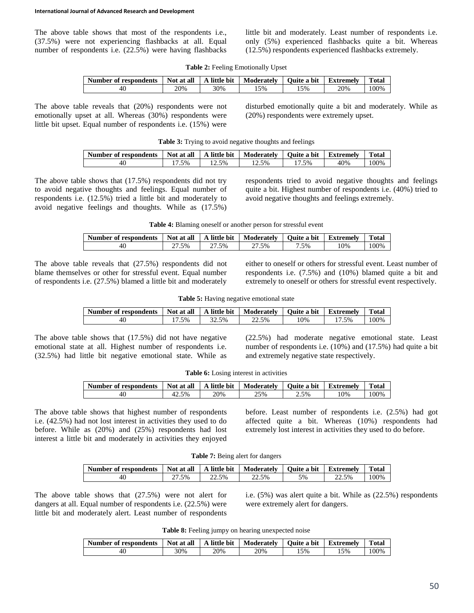The above table shows that most of the respondents i.e., (37.5%) were not experiencing flashbacks at all. Equal number of respondents i.e. (22.5%) were having flashbacks

little bit and moderately. Least number of respondents i.e. only (5%) experienced flashbacks quite a bit. Whereas (12.5%) respondents experienced flashbacks extremely.

|  | Table 2: Feeling Emotionally Upset |  |
|--|------------------------------------|--|
|  |                                    |  |

| Number of respondents | Not at all | A little bit | Moderately | Ouite a bit | Extremelv | <b>Total</b> |
|-----------------------|------------|--------------|------------|-------------|-----------|--------------|
| 40                    | 20%        | 30%          | 5%         | 15%         | 20%       | 00%          |

The above table reveals that (20%) respondents were not emotionally upset at all. Whereas (30%) respondents were little bit upset. Equal number of respondents i.e. (15%) were disturbed emotionally quite a bit and moderately. While as (20%) respondents were extremely upset.

| Table 3: Trying to avoid negative thoughts and feelings |  |  |  |
|---------------------------------------------------------|--|--|--|
|                                                         |  |  |  |

| Number of respondents | Not at all | A little bit   | Moderately | Ouite a bit | <b>Extremely</b> | Total |
|-----------------------|------------|----------------|------------|-------------|------------------|-------|
| 40                    | .5%        | . <i>4</i> .5% | . 2.5%     | 5%          | 40%              | 100%  |

The above table shows that (17.5%) respondents did not try to avoid negative thoughts and feelings. Equal number of respondents i.e. (12.5%) tried a little bit and moderately to avoid negative feelings and thoughts. While as (17.5%) respondents tried to avoid negative thoughts and feelings quite a bit. Highest number of respondents i.e. (40%) tried to avoid negative thoughts and feelings extremely.

| Table 4: Blaming oneself or another person for stressful event |  |
|----------------------------------------------------------------|--|
|----------------------------------------------------------------|--|

| Number of respondents | Not at all | A little bit | Moderately | Ouite a bit | Extremely | <b>Total</b> |
|-----------------------|------------|--------------|------------|-------------|-----------|--------------|
| 40                    | 27.5%      | .5%          | .5%<br>, i | '.5%        | .0%       | $00\%$       |

The above table reveals that (27.5%) respondents did not blame themselves or other for stressful event. Equal number of respondents i.e. (27.5%) blamed a little bit and moderately either to oneself or others for stressful event. Least number of respondents i.e. (7.5%) and (10%) blamed quite a bit and extremely to oneself or others for stressful event respectively.

Table 5: Having negative emotional state

| Number of respondents | Not at all | A little bit | Moderately | Ouite a bit | <b>Extremely</b> | <b>Total</b> |
|-----------------------|------------|--------------|------------|-------------|------------------|--------------|
| 40                    | .5%        | 32.5%        | 22.5%      | .0%         | 5 <sub>%</sub>   | $00\%$       |

The above table shows that (17.5%) did not have negative emotional state at all. Highest number of respondents i.e. (32.5%) had little bit negative emotional state. While as

(22.5%) had moderate negative emotional state. Least number of respondents i.e. (10%) and (17.5%) had quite a bit and extremely negative state respectively.

| Number of respondents | Not at all | A little bit | Moderately | Ouite a bit | <b>Extremely</b> | Total |
|-----------------------|------------|--------------|------------|-------------|------------------|-------|
| 40                    | 42.5%      | 20%          | 25%        | 2.5%        | 10%              | 00%   |

The above table shows that highest number of respondents i.e. (42.5%) had not lost interest in activities they used to do before. While as (20%) and (25%) respondents had lost interest a little bit and moderately in activities they enjoyed before. Least number of respondents i.e. (2.5%) had got affected quite a bit. Whereas (10%) respondents had extremely lost interest in activities they used to do before.

**Table 7:** Being alert for dangers

| Number of respondents | Not at all | A little bit | Moderately | Ouite a bit | <b>Extremely</b> | <b>Total</b> |
|-----------------------|------------|--------------|------------|-------------|------------------|--------------|
| 40                    | 27.5%      | 22.5%        | 22.5%      | 5%          | 22.5%            | 00%          |

The above table shows that (27.5%) were not alert for dangers at all. Equal number of respondents i.e. (22.5%) were little bit and moderately alert. Least number of respondents i.e. (5%) was alert quite a bit. While as (22.5%) respondents were extremely alert for dangers.

**Table 8:** Feeling jumpy on hearing unexpected noise

| Number of respondents | Not at all | A little bit | Moderately | Ouite a bit | Extremely | Total |
|-----------------------|------------|--------------|------------|-------------|-----------|-------|
| 40.                   | 30%        | 20%          | 20%        | 5%،         | 15%       | 00%   |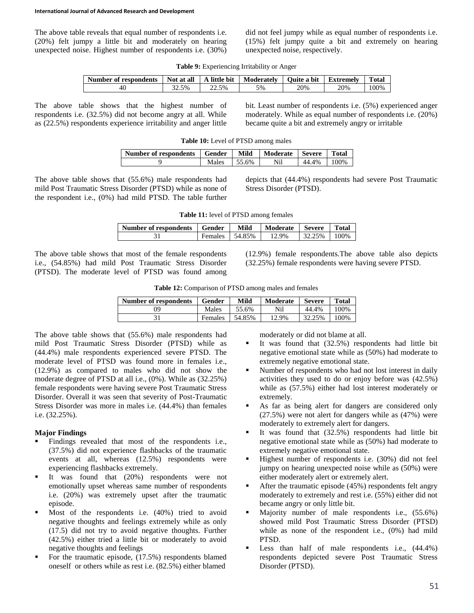The above table reveals that equal number of respondents i.e. (20%) felt jumpy a little bit and moderately on hearing unexpected noise. Highest number of respondents i.e. (30%) did not feel jumpy while as equal number of respondents i.e. (15%) felt jumpy quite a bit and extremely on hearing unexpected noise, respectively.

|  |  |  |  | Table 9: Experiencing Irritability or Anger |
|--|--|--|--|---------------------------------------------|
|--|--|--|--|---------------------------------------------|

| Number of respondents | Not at all | little bit<br>$\lambda$ | Moderately | <b>Ouite a bit</b> | Extremely | <b>Total</b> |
|-----------------------|------------|-------------------------|------------|--------------------|-----------|--------------|
| 40                    | 32.5%      | 22.5%                   | $5\%$      | 20%                | 20%       | 00%          |

The above table shows that the highest number of respondents i.e. (32.5%) did not become angry at all. While as (22.5%) respondents experience irritability and anger little bit. Least number of respondents i.e. (5%) experienced anger moderately. While as equal number of respondents i.e. (20%) became quite a bit and extremely angry or irritable

| Number of respondents   Gender |                 | Mild | Moderate | <b>Severe</b> | I Total |
|--------------------------------|-----------------|------|----------|---------------|---------|
|                                | Males $155.6\%$ |      | Nil      | 44.4% 100%    |         |

The above table shows that (55.6%) male respondents had mild Post Traumatic Stress Disorder (PTSD) while as none of the respondent i.e., (0%) had mild PTSD. The table further

depicts that (44.4%) respondents had severe Post Traumatic Stress Disorder (PTSD).

| <b>Table 11:</b> level of PTSD among females |  |  |  |  |
|----------------------------------------------|--|--|--|--|
|----------------------------------------------|--|--|--|--|

| Number of respondents   Gender |         | Mild        | Moderate | <b>Severe</b> | <b>Total</b> |
|--------------------------------|---------|-------------|----------|---------------|--------------|
|                                | Females | $1,54.85\%$ | 12.9%    | 32.25%        | $100\%$      |

The above table shows that most of the female respondents i.e., (54.85%) had mild Post Traumatic Stress Disorder (PTSD). The moderate level of PTSD was found among (12.9%) female respondents.The above table also depicts (32.25%) female respondents were having severe PTSD.

|  |  | Table 12: Comparison of PTSD among males and females |  |  |
|--|--|------------------------------------------------------|--|--|
|--|--|------------------------------------------------------|--|--|

| Number of respondents | Gender  | Mild   | Moderate | <b>Severe</b> | <b>Total</b> |
|-----------------------|---------|--------|----------|---------------|--------------|
| ŋ9                    | Males   | 55.6%  | Nil      | 44.4%         | 100%         |
|                       | Females | 54.85% | 12.9%    | 32.25%        | 100%         |

The above table shows that (55.6%) male respondents had mild Post Traumatic Stress Disorder (PTSD) while as (44.4%) male respondents experienced severe PTSD. The moderate level of PTSD was found more in females i.e., (12.9%) as compared to males who did not show the moderate degree of PTSD at all i.e., (0%). While as (32.25%) female respondents were having severe Post Traumatic Stress Disorder. Overall it was seen that severity of Post-Traumatic Stress Disorder was more in males i.e. (44.4%) than females i.e. (32.25%).

### **Major Findings**

- Findings revealed that most of the respondents i.e., (37.5%) did not experience flashbacks of the traumatic events at all, whereas (12.5%) respondents were experiencing flashbacks extremely.
- It was found that (20%) respondents were not emotionally upset whereas same number of respondents i.e. (20%) was extremely upset after the traumatic episode.
- **Most of the respondents i.e.** (40%) tried to avoid negative thoughts and feelings extremely while as only (17.5) did not try to avoid negative thoughts. Further (42.5%) either tried a little bit or moderately to avoid negative thoughts and feelings
- For the traumatic episode,  $(17.5%)$  respondents blamed oneself or others while as rest i.e. (82.5%) either blamed

moderately or did not blame at all.

- It was found that  $(32.5%)$  respondents had little bit negative emotional state while as (50%) had moderate to extremely negative emotional state.
- Number of respondents who had not lost interest in daily activities they used to do or enjoy before was (42.5%) while as (57.5%) either had lost interest moderately or extremely.
- As far as being alert for dangers are considered only (27.5%) were not alert for dangers while as (47%) were moderately to extremely alert for dangers.
- It was found that (32.5%) respondents had little bit negative emotional state while as (50%) had moderate to extremely negative emotional state.
- Highest number of respondents i.e. (30%) did not feel jumpy on hearing unexpected noise while as (50%) were either moderately alert or extremely alert.
- After the traumatic episode (45%) respondents felt angry moderately to extremely and rest i.e. (55%) either did not became angry or only little bit.
- Majority number of male respondents i.e., (55.6%) showed mild Post Traumatic Stress Disorder (PTSD) while as none of the respondent i.e., (0%) had mild PTSD.
- Less than half of male respondents i.e.,  $(44.4\%)$ respondents depicted severe Post Traumatic Stress Disorder (PTSD).